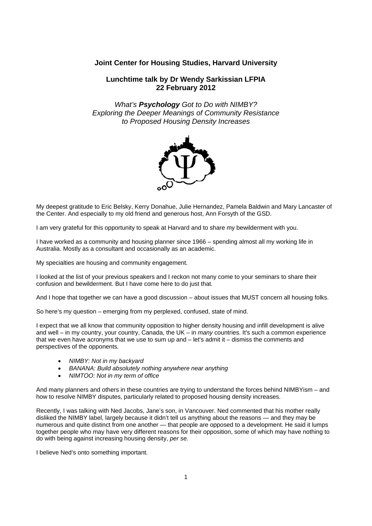# **Joint Center for Housing Studies, Harvard University**

# **Lunchtime talk by Dr Wendy Sarkissian LFPIA 22 February 2012**

*What's Psychology Got to Do with NIMBY? Exploring the Deeper Meanings of Community Resistance to Proposed Housing Density Increases* 



My deepest gratitude to Eric Belsky, Kerry Donahue, Julie Hernandez, Pamela Baldwin and Mary Lancaster of the Center. And especially to my old friend and generous host, Ann Forsyth of the GSD.

I am very grateful for this opportunity to speak at Harvard and to share my bewilderment with you.

I have worked as a community and housing planner since 1966 – spending almost all my working life in Australia. Mostly as a consultant and occasionally as an academic.

My specialties are housing and community engagement.

I looked at the list of your previous speakers and I reckon not many come to your seminars to share their confusion and bewilderment. But I have come here to do just that.

And I hope that together we can have a good discussion – about issues that MUST concern all housing folks.

So here's my question – emerging from my perplexed, confused, state of mind.

I expect that we all know that community opposition to higher density housing and infill development is alive and well – in my country, your country, Canada, the UK – in *many* countries. It's such a common experience that we even have acronyms that we use to sum up and – let's admit it – dismiss the comments and perspectives of the opponents.

- *NIMBY: Not in my backyard*
- *BANANA: Build absolutely nothing anywhere near anything*
- *NIMTOO: Not in my term of office*

And many planners and others in these countries are trying to understand the forces behind NIMBYism – and how to resolve NIMBY disputes, particularly related to proposed housing density increases.

Recently, I was talking with Ned Jacobs, Jane's son, in Vancouver. Ned commented that his mother really disliked the NIMBY label, largely because it didn't tell us anything about the reasons — and they may be numerous and quite distinct from one another — that people are opposed to a development. He said it lumps together people who may have very different reasons for their opposition, some of which may have nothing to do with being against increasing housing density, *per se.*

I believe Ned's onto something important.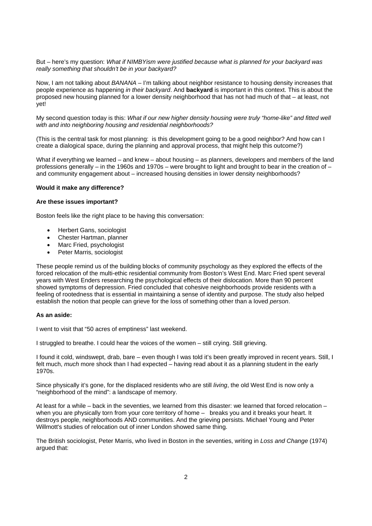But – here's my question: *What if NIMBYism were justified because what is planned for your backyard was really something that shouldn't be in your backyard?*

Now, I am not talking about *BANANA* – I'm talking about neighbor resistance to housing density increases that people experience as happening *in their backyard*. And **backyard** is important in this context. This is about the proposed new housing planned for a lower density neighborhood that has not had much of that – at least, not yet!

My second question today is this: *What if our new higher density housing were truly "home-like" and fitted well with and into neighboring housing and residential neighborhoods?* 

(This is the central task for most planning: is this development going to be a good neighbor? And how can I create a dialogical space, during the planning and approval process, that might help this outcome?)

What if everything we learned – and knew – about housing – as planners, developers and members of the land professions generally – in the 1960s and 1970s – were brought to light and brought to bear in the creation of – and community engagement about – increased housing densities in lower density neighborhoods?

## **Would it make any difference?**

#### **Are these issues important?**

Boston feels like the right place to be having this conversation:

- Herbert Gans, sociologist
- Chester Hartman, planner
- Marc Fried, psychologist
- Peter Marris, sociologist

These people remind us of the building blocks of community psychology as they explored the effects of the forced relocation of the multi-ethic residential community from Boston's West End. Marc Fried spent several years with West Enders researching the psychological effects of their dislocation. More than 90 percent showed symptoms of depression. Fried concluded that cohesive neighborhoods provide residents with a feeling of rootedness that is essential in maintaining a sense of identity and purpose. The study also helped establish the notion that people can grieve for the loss of something other than a loved *person*.

### **As an aside:**

I went to visit that "50 acres of emptiness" last weekend.

I struggled to breathe. I could hear the voices of the women – still crying. Still grieving.

I found it cold, windswept, drab, bare – even though I was told it's been greatly improved in recent years. Still, I felt much, *much* more shock than I had expected – having read about it as a planning student in the early 1970s.

Since physically it's gone, for the displaced residents who are still *living*, the old West End is now only a "neighborhood of the mind": a landscape of memory.

At least for a while – back in the seventies, we learned from this disaster: we learned that forced relocation – when you are physically torn from your core territory of home – breaks you and it breaks your heart. It destroys people, neighborhoods AND communities. And the grieving persists. Michael Young and Peter Willmott's studies of relocation out of inner London showed same thing.

The British sociologist, Peter Marris, who lived in Boston in the seventies, writing in *Loss and Change* (1974) argued that: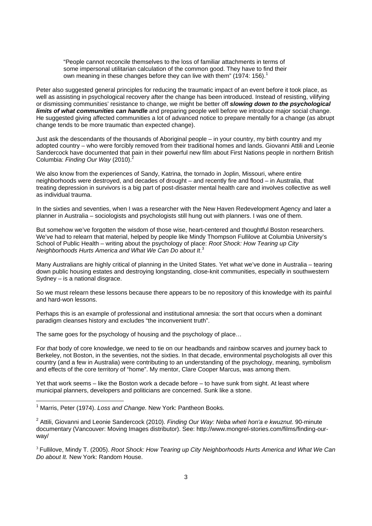"People cannot reconcile themselves to the loss of familiar attachments in terms of some impersonal utilitarian calculation of the common good. They have to find their own meaning in these changes before they can live with them" (1974: 156).<sup>1</sup>

Peter also suggested general principles for reducing the traumatic impact of an event before it took place, as well as assisting in psychological recovery after the change has been introduced. Instead of resisting, vilifying or dismissing communities' resistance to change, we might be better off *slowing down to the psychological limits of what communities can handle* and preparing people well before we introduce major social change. He suggested giving affected communities a lot of advanced notice to prepare mentally for a change (as abrupt change tends to be more traumatic than expected change).

Just ask the descendants of the thousands of Aboriginal people – in your country, my birth country and my adopted country – who were forcibly removed from their traditional homes and lands. Giovanni Attili and Leonie Sandercock have documented that pain in their powerful new film about First Nations people in northern British Columbia: Finding Our Way (2010).<sup>2</sup>

We also know from the experiences of Sandy, Katrina, the tornado in Joplin, Missouri, where entire neighborhoods were destroyed, and decades of drought – and recently fire and flood – in Australia, that treating depression in survivors is a big part of post-disaster mental health care and involves collective as well as individual trauma.

In the sixties and seventies, when I was a researcher with the New Haven Redevelopment Agency and later a planner in Australia – sociologists and psychologists still hung out with planners. I was one of them.

But somehow we've forgotten the wisdom of those wise, heart-centered and thoughtful Boston researchers. We've had to relearn that material, helped by people like Mindy Thompson Fullilove at Columbia University's School of Public Health – writing about the psychology of place: *Root Shock: How Tearing up City Neighborhoods Hurts America and What We Can Do about It*. 3

Many Australians are highly critical of planning in the United States. Yet what we've done in Australia – tearing down public housing estates and destroying longstanding, close-knit communities, especially in southwestern Sydney – is a national disgrace.

So we must relearn these lessons because there appears to be no repository of this knowledge with its painful and hard-won lessons.

Perhaps this is an example of professional and institutional amnesia: the sort that occurs when a dominant paradigm cleanses history and excludes "the inconvenient truth".

The same goes for the psychology of housing and the psychology of place…

For *that* body of core knowledge, we need to tie on our headbands and rainbow scarves and journey back to Berkeley, not Boston, in the seventies, not the sixties. In that decade, environmental psychologists all over this country (and a few in Australia) were contributing to an understanding of the psychology, meaning, symbolism and effects of the core territory of "home". My mentor, Clare Cooper Marcus, was among them.

Yet that work seems – like the Boston work a decade before – to have sunk from sight. At least where municipal planners, developers and politicians are concerned. Sunk like a stone.

<sup>3</sup> Fullilove, Mindy T. (2005). *Root Shock: How Tearing up City Neighborhoods Hurts America and What We Can Do about It.* New York: Random House.

 1 Marris, Peter (1974). *Loss and Change.* New York: Pantheon Books.

<sup>2</sup> Attili, Giovanni and Leonie Sandercock (2010). *Finding Our Way: Neba wheti hon'a e kwuznut*. 90-minute documentary (Vancouver: Moving Images distributor). See: http://www.mongrel-stories.com/films/finding-ourway/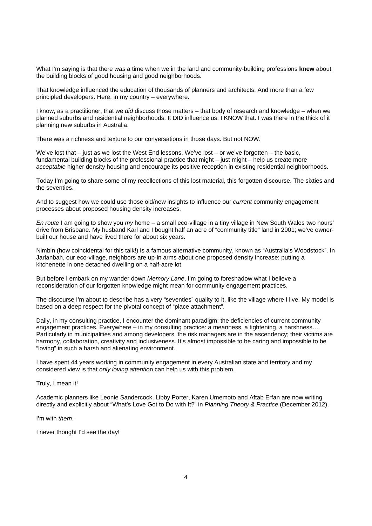What I'm saying is that there *was* a time when we in the land and community-building professions **knew** about the building blocks of good housing and good neighborhoods.

That knowledge influenced the education of thousands of planners and architects. And more than a few principled developers. Here, in my country – everywhere.

I know, as a practitioner, that we *did* discuss those matters – that body of research and knowledge – when we planned suburbs and residential neighborhoods. It DID influence us. I KNOW that. I was there in the thick of it planning new suburbs in Australia.

There was a richness and texture to our conversations in those days. But not NOW.

We've lost that – just as we lost the West End lessons. We've lost – or we've forgotten – the basic, fundamental building blocks of the professional practice that might – just might – help us create more *acceptable* higher density housing and encourage its positive reception in existing residential neighborhoods.

Today I'm going to share some of my recollections of this lost material, this forgotten discourse. The sixties and the seventies.

And to suggest how we could use those old/new insights to influence our *current* community engagement processes about proposed housing density increases.

*En route* I am going to show you *my* home – a small eco-village in a tiny village in New South Wales two hours' drive from Brisbane. My husband Karl and I bought half an acre of "community title" land in 2001; we've ownerbuilt our house and have lived there for about six years.

Nimbin (how coincidental for this talk!) is a famous alternative community, known as "Australia's Woodstock". In Jarlanbah, our eco-village, neighbors are up-in arms about one proposed density increase: putting a kitchenette in one detached dwelling on a half-acre lot.

But before I embark on my wander down *Memory Lane*, I'm going to foreshadow what I believe a reconsideration of our forgotten knowledge might mean for community engagement practices.

The discourse I'm about to describe has a very "seventies" quality to it, like the village where I live. My model is based on a deep respect for the pivotal concept of "place attachment".

Daily, in my consulting practice, I encounter the dominant paradigm: the deficiencies of current community engagement practices. Everywhere – in my consulting practice: a meanness, a tightening, a harshness… Particularly in municipalities and among developers, the risk managers are in the ascendency; their victims are harmony, collaboration, creativity and inclusiveness. It's almost impossible to be caring and impossible to be "loving" in such a harsh and alienating environment.

I have spent 44 years working in community engagement in every Australian state and territory and my considered view is that *only loving attentio*n can help us with this problem.

#### Truly, I mean it!

Academic planners like Leonie Sandercock, Libby Porter, Karen Umemoto and Aftab Erfan are now writing directly and explicitly about "What's Love Got to Do with It?" in *Planning Theory & Practice* (December 2012).

I'm with *them*.

I never thought I'd see the day!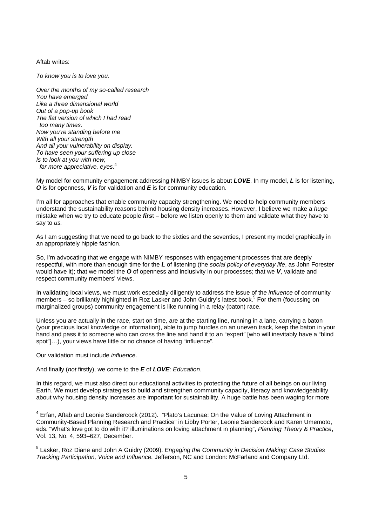Aftab writes:

*To know you is to love you.* 

*Over the months of my so-called research You have emerged Like a three dimensional world Out of a pop-up book The flat version of which I had read too many times. Now you're standing before me With all your strength And all your vulnerability on display. To have seen your suffering up close Is to look at you with new, far more appreciative, eyes.*<sup>4</sup>

My model for community engagement addressing NIMBY issues is about *LOVE*. In my model, *L* is for listening, *O* is for openness, *V* is for validation and *E* is for community education.

I'm all for approaches that enable community capacity strengthening. We need to help community members understand the sustainability reasons behind housing density increases. However, I believe we make a *huge* mistake when we try to educate people *firs*t – before we listen openly to them and validate what they have to say to *us.*

As I am suggesting that we need to go back to the sixties and the seventies, I present my model graphically in an appropriately hippie fashion.

So, I'm advocating that we engage with NIMBY responses with engagement processes that are deeply respectful, with more than enough time for the *L* of listening (the *social policy of everyday life*, as John Forester would have it); that we model the *O* of openness and inclusivity in our processes; that we *V*, validate and respect community members' views.

In validating local views, we must work especially diligently to address the issue of th*e influence* of community members - so brilliantly highlighted in Roz Lasker and John Guidry's latest book.<sup>5</sup> For them (focussing on marginalized groups) community engagement is like running in a relay (baton) race.

Unless you are actually in the race, start on time, are at the starting line, running in a lane, carrying a baton (your precious local knowledge or information), able to jump hurdles on an uneven track, keep the baton in your hand and pass it to someone who can cross the line and hand it to an "expert" [who will inevitably have a "blind spot"[...], your views have little or no chance of having "influence".

Our validation must include *influence*.

And finally (*not* firstly), we come to the *E* of *LOVE*: *Education*.

In this regard, we must also direct our educational activities to protecting the future of all beings on our living Earth. We must develop strategies to build and strengthen community capacity, literacy and knowledgeability about why housing density increases are important for sustainability. A huge battle has been waging for more

<sup>————————————————————&</sup>lt;br><sup>4</sup> Erfan, Aftab and Leonie Sandercock (2012). "Plato's Lacunae: On the Value of Loving Attachment in Community-Based Planning Research and Practice" in Libby Porter, Leonie Sandercock and Karen Umemoto, eds. "What's love got to do with it? illuminations on loving attachment in planning", *Planning Theory & Practice*, Vol. 13, No. 4, 593–627, December.

<sup>5</sup> Lasker, Roz Diane and John A Guidry (2009). *Engaging the Community in Decision Making: Case Studies Tracking Participation, Voice and Influence.* Jefferson, NC and London: McFarland and Company Ltd.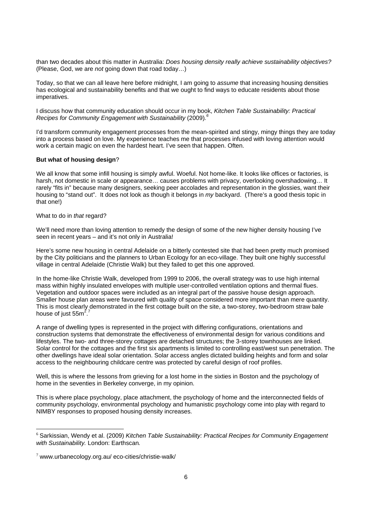than two decades about this matter in Australia: *Does housing density really achieve sustainability objectives?* (Please, God, we are *not* going down that road today…)

Today, so that we can all leave here before midnight, I am going to *assume* that increasing housing densities has ecological and sustainability benefits and that we ought to find ways to educate residents about those imperatives.

I discuss how that community education should occur in my book, *Kitchen Table Sustainability: Practical Recipes for Community Engagement with Sustainability* (2009)*. 6* 

I'd transform community engagement processes from the mean-spirited and stingy, mingy things they are today into a process based on love. My experience teaches me that processes infused with loving attention would work a certain magic on even the hardest heart. I've seen that happen. Often.

#### **But what of housing design**?

We all know that some infill housing is simply awful. Woeful. Not home-like. It looks like offices or factories, is harsh, not domestic in scale or appearance... causes problems with privacy, overlooking overshadowing... It rarely "fits in" because many designers, seeking peer accolades and representation in the glossies, want their housing to "stand out". It does not look as though it belongs in *my* backyard. (There's a good thesis topic in that one!)

#### What to do in *that* regard?

We'll need more than loving attention to remedy the design of some of the new higher density housing I've seen in recent years – and it's not only in Australia!

Here's some new housing in central Adelaide on a bitterly contested site that had been pretty much promised by the City politicians and the planners to Urban Ecology for an eco-village. They built one highly successful village in central Adelaide (Christie Walk) but they failed to get this one approved.

In the home-like Christie Walk, developed from 1999 to 2006, the overall strategy was to use high internal mass within highly insulated envelopes with multiple user-controlled ventilation options and thermal flues. Vegetation and outdoor spaces were included as an integral part of the passive house design approach. Smaller house plan areas were favoured with quality of space considered more important than mere quantity. This is most clearly demonstrated in the first cottage built on the site, a two-storey, two-bedroom straw bale house of just 55 $m^2$ . 7

A range of dwelling types is represented in the project with differing configurations, orientations and construction systems that demonstrate the effectiveness of environmental design for various conditions and lifestyles. The two- and three-storey cottages are detached structures; the 3-storey townhouses are linked. Solar control for the cottages and the first six apartments is limited to controlling east/west sun penetration. The other dwellings have ideal solar orientation. Solar access angles dictated building heights and form and solar access to the neighbouring childcare centre was protected by careful design of roof profiles.

Well, this is where the lessons from grieving for a lost home in the sixties in Boston and the psychology of home in the seventies in Berkeley converge, in my opinion.

This is where place psychology, place attachment, the psychology of home and the interconnected fields of community psychology, environmental psychology and humanistic psychology come into play with regard to NIMBY responses to proposed housing density increases.

<sup>6</sup> Sarkissian, Wendy et al. (2009) *Kitchen Table Sustainability: Practical Recipes for Community Engagement with Sustainability.* London: Earthscan*.* 

 $7$  www.urbanecology.org.au/ eco-cities/christie-walk/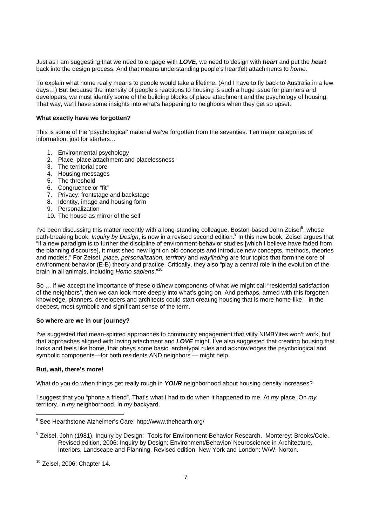Just as I am suggesting that we need to engage with *LOVE*, we need to design with *heart* and put the *heart*  back into the design process. And that means understanding people's heartfelt attachments to *home*.

To explain what home really means to people would take a lifetime. (And I have to fly back to Australia in a few days…) But because the intensity of people's reactions to housing is such a huge issue for planners and developers, we must identify some of the building blocks of place attachment and the psychology of housing. That way, we'll have some insights into what's happening to neighbors when they get so upset.

## **What exactly have we forgotten?**

This is some of the 'psychological' material we've forgotten from the seventies. Ten major categories of information, just for starters…

- 1. Environmental psychology
- 2. Place, place attachment and placelessness
- 3. The territorial core
- 4. Housing messages
- 5. The threshold
- 6. Congruence or "fit"
- 7. Privacy: frontstage and backstage
- 8. Identity, image and housing form
- 9. Personalization
- 10. The house as mirror of the self

I've been discussing this matter recently with a long-standing colleague, Boston-based John Zeisel<sup>8</sup>, whose path-breaking book, *Inquiry by Design*, is now in a revised second edition.<sup>9</sup> In this new book, Zeisel argues that "if a new paradigm is to further the discipline of environment-behavior studies [which I believe have faded from the planning discourse], it must shed new light on old concepts and introduce new concepts, methods, theories and models." For Zeisel, *place, personalization, territory* and *wayfinding* are four topics that form the core of environment-behavior (E-B) theory and practice. Critically, they also "play a central role in the evolution of the brain in all animals, including *Homo sapiens*."<sup>1</sup>

So … if we accept the importance of these old/new components of what we might call "residential satisfaction of the neighbors", then we can look more deeply into what's going on. And perhaps, armed with this forgotten knowledge, planners, developers and architects could start creating housing that is more home-like – in the deepest, most symbolic and significant sense of the term.

### **So where are we in our journey?**

I've suggested that mean-spirited approaches to community engagement that vilify NIMBYites won't work, but that approaches aligned with loving attachment and *LOVE* might. I've also suggested that creating housing that looks and feels like home, that obeys some basic, archetypal rules and acknowledges the psychological and symbolic components—for both residents AND neighbors — might help.

#### **But, wait, there's more!**

What do you do when things get really rough in *YOUR* neighborhood about housing density increases?

I suggest that you "phone a friend". That's what I had to do when it happened to me. At *my* place. On *my* territory. In *my* neighborhood. In *my* backyard.

<sup>8</sup> See Hearthstone Alzheimer's Care: http://www.thehearth.org/

<sup>&</sup>lt;sup>9</sup> Zeisel, John (1981). Inquiry by Design: Tools for Environment-Behavior Research. Monterey: Brooks/Cole. Revised edition, 2006: Inquiry by Design: Environment/Behavior/ Neuroscience in Architecture, Interiors, Landscape and Planning. Revised edition. New York and London: W/W. Norton.

 $10$  Zeisel, 2006: Chapter 14.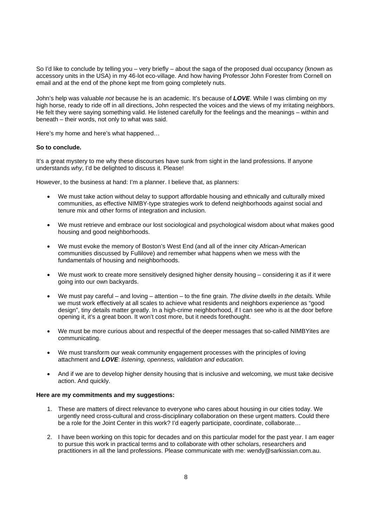So I'd like to conclude by telling you – very briefly – about the saga of the proposed dual occupancy (known as accessory units in the USA) in my 46-lot eco-village. And how having Professor John Forester from Cornell on email and at the end of the phone kept me from going completely nuts.

John's help was valuable *not* because he is an academic. It's because of *LOVE*. While I was climbing on my high horse, ready to ride off in all directions, John respected the voices and the views of my irritating neighbors. He felt they were saying something valid. He listened carefully for the feelings and the meanings – within and beneath – their words, not only to what was said.

Here's my home and here's what happened…

#### **So to conclude.**

It's a great mystery to me why these discourses have sunk from sight in the land professions. If anyone understands *why*, I'd be delighted to discuss it. Please!

However, to the business at hand: I'm a planner. I believe that, as planners:

- We must take action without delay to support affordable housing and ethnically and culturally mixed communities, as effective NIMBY-type strategies work to defend neighborhoods against social and tenure mix and other forms of integration and inclusion.
- We must retrieve and embrace our lost sociological and psychological wisdom about what makes good housing and good neighborhoods.
- We must evoke the memory of Boston's West End (and all of the inner city African-American communities discussed by Fullilove) and remember what happens when we mess with the fundamentals of housing and neighborhoods.
- We must work to create more sensitively designed higher density housing considering it as if it were going into our own backyards.
- We must pay careful and loving attention to the fine grain. *The divine dwells in the details.* While we must work effectively at all scales to achieve what residents and neighbors experience as "good design", tiny details matter greatly. In a high-crime neighborhood, if I can see who is at the door before opening it, it's a great boon. It won't cost more, but it needs forethought.
- We must be more curious about and respectful of the deeper messages that so-called NIMBYites are communicating.
- We must transform our weak community engagement processes with the principles of loving attachment and *LOVE*: *listening, openness, validation and education.*
- And if we are to develop higher density housing that is inclusive and welcoming, we must take decisive action. And quickly.

### **Here are my commitments and my suggestions:**

- 1. These are matters of direct relevance to everyone who cares about housing in our cities today. We urgently need cross-cultural and cross-disciplinary collaboration on these urgent matters. Could there be a role for the Joint Center in this work? I'd eagerly participate, coordinate, collaborate...
- 2. I have been working on this topic for decades and on this particular model for the past year. I am eager to pursue this work in practical terms and to collaborate with other scholars, researchers and practitioners in all the land professions. Please communicate with me: wendy@sarkissian.com.au.